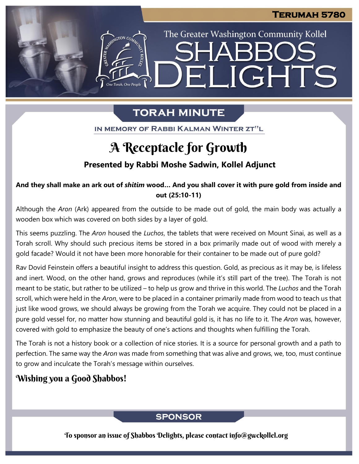The Greater Washington Community Kollel

ELIGHTS

# **TORAH MINUTE**

IN MEMORY OF RABBI KALMAN WINTER ZT"L

## A Receptacle for Growth

## **Presented by Rabbi Moshe Sadwin, Kollel Adjunct**

### And they shall make an ark out of shitim wood... And you shall cover it with pure gold from inside and **out (25:10-11)**

Although the *Aron* (Ark) appeared from the outside to be made out of gold, the main body was actually a wooden box which was covered on both sides by a layer of gold.

This seems puzzling. The *Aron* housed the *Luchos*, the tablets that were received on Mount Sinai, as well as a Torah scroll. Why should such precious items be stored in a box primarily made out of wood with merely a gold facade? Would it not have been more honorable for their container to be made out of pure gold?

Rav Dovid Feinstein offers a beautiful insight to address this question. Gold, as precious as it may be, is lifeless and inert. Wood, on the other hand, grows and reproduces (while it's still part of the tree). The Torah is not meant to be static, but rather to be utilized – to help us grow and thrive in this world. The *Luchos* and the Torah scroll, which were held in the *Aron*, were to be placed in a container primarily made from wood to teach us that just like wood grows, we should always be growing from the Torah we acquire. They could not be placed in a pure gold vessel for, no matter how stunning and beautiful gold is, it has no life to it. The *Aron* was, however, covered with gold to emphasize the beauty of one's actions and thoughts when fulfilling the Torah.

The Torah is not a history book or a collection of nice stories. It is a source for personal growth and a path to perfection. The same way the *Aron* was made from something that was alive and grows, we, too, must continue to grow and inculcate the Torah's message within ourselves.

## Wishing you a Good Shabbos!

## **SPONSOR**

To sponsor an issue of Shabbos Delights, please contact info@gwckollel.org